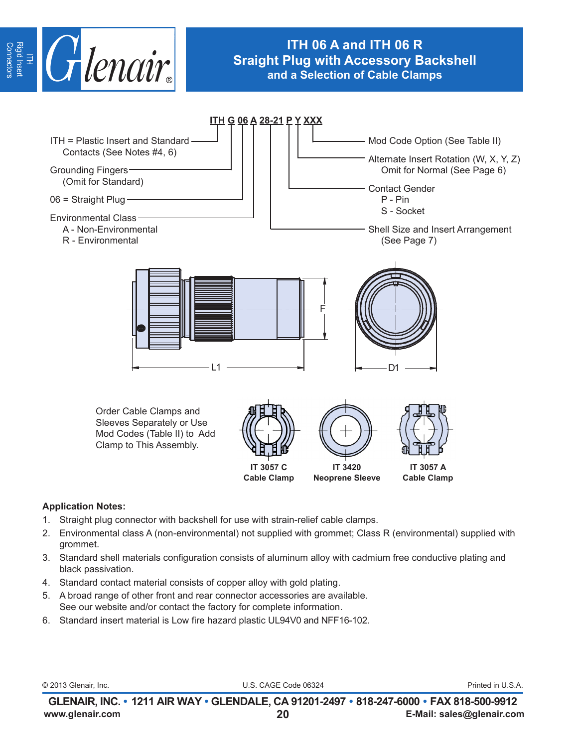

# **ITH 06 A and ITH 06 R Sraight Plug with Accessory Backshell and a Selection of Cable Clamps**



#### **Application Notes:**

- 1. Straight plug connector with backshell for use with strain-relief cable clamps.
- 2. Environmental class A (non-environmental) not supplied with grommet; Class R (environmental) supplied with grommet.
- 3. Standard shell materials configuration consists of aluminum alloy with cadmium free conductive plating and black passivation.
- 4. Standard contact material consists of copper alloy with gold plating.
- 5. A broad range of other front and rear connector accessories are available. See our website and/or contact the factory for complete information.
- 6. Standard insert material is Low fire hazard plastic UL94V0 and NFF16-102.

© 2013 Glenair, Inc. U.S. CAGE Code 06324 Printed in U.S.A.